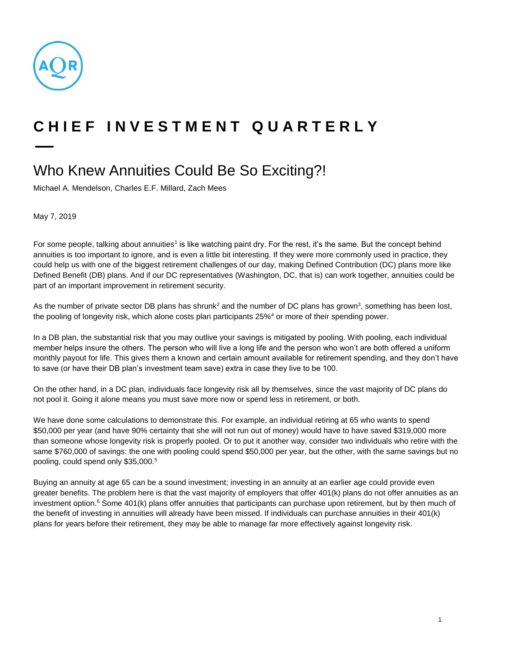

## **C H I E F I N V E S T M E N T Q U A R T E R L Y**

## Who Knew Annuities Could Be So Exciting?!

Michael A. Mendelson, Charles E.F. Millard, Zach Mees

May 7, 2019

For some people, talking about annuities<sup>1</sup> is like watching paint dry. For the rest, it's the same. But the concept behind annuities is too important to ignore, and is even a little bit interesting. If they were more commonly used in practice, they could help us with one of the biggest retirement challenges of our day, making Defined Contribution (DC) plans more like Defined Benefit (DB) plans. And if our DC representatives (Washington, DC, that is) can work together, annuities could be part of an important improvement in retirement security.

As the number of private sector DB plans has shrunk<sup>2</sup> and the number of DC plans has grown<sup>3</sup>, something has been lost, the pooling of longevity risk, which alone costs plan participants 25%<sup>4</sup> or more of their spending power.

In a DB plan, the substantial risk that you may outlive your savings is mitigated by pooling. With pooling, each individual member helps insure the others. The person who will live a long life and the person who won't are both offered a uniform monthly payout for life. This gives them a known and certain amount available for retirement spending, and they don't have to save (or have their DB plan's investment team save) extra in case they live to be 100.

On the other hand, in a DC plan, individuals face longevity risk all by themselves, since the vast majority of DC plans do not pool it. Going it alone means you must save more now or spend less in retirement, or both.

We have done some calculations to demonstrate this. For example, an individual retiring at 65 who wants to spend \$50,000 per year (and have 90% certainty that she will not run out of money) would have to have saved \$319,000 more than someone whose longevity risk is properly pooled. Or to put it another way, consider two individuals who retire with the same \$760,000 of savings: the one with pooling could spend \$50,000 per year, but the other, with the same savings but no pooling, could spend only \$35,000.<sup>5</sup>

Buying an annuity at age 65 can be a sound investment; investing in an annuity at an earlier age could provide even greater benefits. The problem here is that the vast majority of employers that offer 401(k) plans do not offer annuities as an investment option.<sup>6</sup> Some 401(k) plans offer annuities that participants can purchase upon retirement, but by then much of the benefit of investing in annuities will already have been missed. If individuals can purchase annuities in their 401(k) plans for years before their retirement, they may be able to manage far more effectively against longevity risk.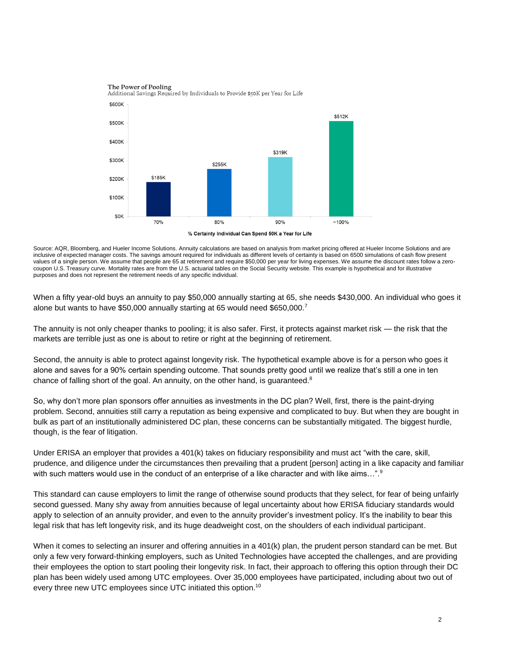

The Power of Pooling Additional Savings Required by Individuals to Provide \$50K per Year for Life

% Certainty Individual Can Spend 50K a Year for Life

Source: AQR, Bloomberg, and Hueler Income Solutions. Annuity calculations are based on analysis from market pricing offered at Hueler Income Solutions and are inclusive of expected manager costs. The savings amount required for individuals as different levels of certainty is based on 6500 simulations of cash flow present values of a single person. We assume that people are 65 at retirement and require \$50,000 per year for living expenses. We assume the discount rates follow a zerocoupon U.S. Treasury curve. Mortality rates are from the U.S. actuarial tables on the Social Security [website.](https://www.ssa.gov/oact/STATS/table4c6.html#fn1) This example is hypothetical and for illustrative purposes and does not represent the retirement needs of any specific individual.

When a fifty year-old buys an annuity to pay \$50,000 annually starting at 65, she needs \$430,000. An individual who goes it alone but wants to have \$50,000 annually starting at 65 would need \$650,000.<sup>7</sup>

The annuity is not only cheaper thanks to pooling; it is also safer. First, it protects against market risk — the risk that the markets are terrible just as one is about to retire or right at the beginning of retirement.

Second, the annuity is able to protect against longevity risk. The hypothetical example above is for a person who goes it alone and saves for a 90% certain spending outcome. That sounds pretty good until we realize that's still a one in ten chance of falling short of the goal. An annuity, on the other hand, is guaranteed. $8$ 

So, why don't more plan sponsors offer annuities as investments in the DC plan? Well, first, there is the paint-drying problem. Second, annuities still carry a reputation as being expensive and complicated to buy. But when they are bought in bulk as part of an institutionally administered DC plan, these concerns can be substantially mitigated. The biggest hurdle, though, is the fear of litigation.

Under ERISA an employer that provides a 401(k) takes on fiduciary responsibility and must act "with the care, skill, prudence, and diligence under the circumstances then prevailing that a prudent [person] acting in a like capacity and familiar with such matters would use in the conduct of an enterprise of a like character and with like aims...".<sup>9</sup>

This standard can cause employers to limit the range of otherwise sound products that they select, for fear of being unfairly second guessed. Many shy away from annuities because of legal uncertainty about how ERISA fiduciary standards would apply to selection of an annuity provider, and even to the annuity provider's investment policy. It's the inability to bear this legal risk that has left longevity risk, and its huge deadweight cost, on the shoulders of each individual participant.

When it comes to selecting an insurer and offering annuities in a 401(k) plan, the prudent person standard can be met. But only a few very forward-thinking employers, such as United Technologies have accepted the challenges, and are providing their employees the option to start pooling their longevity risk. In fact, their approach to offering this option through their DC plan has been widely used among UTC employees. Over 35,000 employees have participated, including about two out of every three new UTC employees since UTC initiated this option.<sup>10</sup>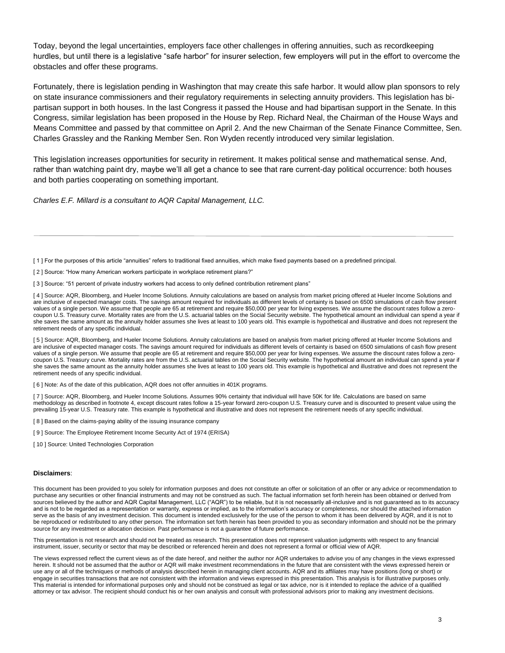Today, beyond the legal uncertainties, employers face other challenges in offering annuities, such as recordkeeping hurdles, but until there is a legislative "safe harbor" for insurer selection, few employers will put in the effort to overcome the obstacles and offer these programs.

Fortunately, there is legislation pending in Washington that may create this safe harbor. It would allow plan sponsors to rely on state insurance commissioners and their regulatory requirements in selecting annuity providers. This legislation has bipartisan support in both houses. In the last Congress it passed the House and had bipartisan support in the Senate. In this Congress, similar legislation has been proposed in the House by Rep. Richard Neal, the Chairman of the House Ways and Means Committee and passed by that committee on April 2. And the new Chairman of the Senate Finance Committee, Sen. Charles Grassley and the Ranking Member Sen. Ron Wyden recently introduced very similar legislation.

This legislation increases opportunities for security in retirement. It makes political sense and mathematical sense. And, rather than watching paint dry, maybe we'll all get a chance to see that rare current-day political occurrence: both houses and both parties cooperating on something important.

*Charles E.F. Millard is a consultant to AQR Capital Management, LLC.*

[1] For the purposes of this article "annuities" refers to traditional fixed annuities, which make fixed payments based on a predefined principal.

[ 2 ] Source: "How many American workers participate in workplace retirement plans?"

[3] Source: "51 percent of private industry workers had access to only defined contribution retirement plans"

[4] Source: AQR, Bloomberg, and Hueler Income Solutions. Annuity calculations are based on analysis from market pricing offered at Hueler Income Solutions and are inclusive of expected manager costs. The savings amount required for individuals as different levels of certainty is based on 6500 simulations of cash flow present values of a single person. We assume that people are 65 at retirement and require \$50,000 per year for living expenses. We assume the discount rates follow a zerocoupon U.S. Treasury curve. Mortality rates are from the U.S. actuarial tables on the Social Security website. The hypothetical amount an individual can spend a year if she saves the same amount as the annuity holder assumes she lives at least to 100 years old. This example is hypothetical and illustrative and does not represent the retirement needs of any specific individual.

[5] Source: AQR, Bloomberg, and Hueler Income Solutions. Annuity calculations are based on analysis from market pricing offered at Hueler Income Solutions and are inclusive of expected manager costs. The savings amount required for individuals as different levels of certainty is based on 6500 simulations of cash flow present values of a single person. We assume that people are 65 at retirement and require \$50,000 per year for living expenses. We assume the discount rates follow a zerocoupon U.S. Treasury curve. Mortality rates are from the U.S. actuarial tables on the Social Security website. The hypothetical amount an individual can spend a year if she saves the same amount as the annuity holder assumes she lives at least to 100 years old. This example is hypothetical and illustrative and does not represent the retirement needs of any specific individual.

[6] Note: As of the date of this publication, AQR does not offer annuities in 401K programs.

[7] Source: AQR, Bloomberg, and Hueler Income Solutions. Assumes 90% certainty that individual will have 50K for life. Calculations are based on same methodology as described in footnote 4, except discount rates follow a 15-year forward zero-coupon U.S. Treasury curve and is discounted to present value using the prevailing 15-year U.S. Treasury rate. This example is hypothetical and illustrative and does not represent the retirement needs of any specific individual.

[ 8 ] Based on the claims-paying ability of the issuing insurance company

- [ 9 ] Source: The Employee Retirement Income Security Act of 1974 (ERISA)
- [ 10 ] Source: United Technologies Corporation

## **Disclaimers**:

This document has been provided to you solely for information purposes and does not constitute an offer or solicitation of an offer or any advice or recommendation to purchase any securities or other financial instruments and may not be construed as such. The factual information set forth herein has been obtained or derived from sources believed by the author and AQR Capital Management, LLC ("AQR") to be reliable, but it is not necessarily all-inclusive and is not guaranteed as to its accuracy and is not to be regarded as a representation or warranty, express or implied, as to the information's accuracy or completeness, nor should the attached information serve as the basis of any investment decision. This document is intended exclusively for the use of the person to whom it has been delivered by AQR, and it is not to be reproduced or redistributed to any other person. The information set forth herein has been provided to you as secondary information and should not be the primary source for any investment or allocation decision. Past performance is not a guarantee of future performance.

This presentation is not research and should not be treated as research. This presentation does not represent valuation judgments with respect to any financial instrument, issuer, security or sector that may be described or referenced herein and does not represent a formal or official view of AQR.

The views expressed reflect the current views as of the date hereof, and neither the author nor AQR undertakes to advise you of any changes in the views expressed herein. It should not be assumed that the author or AQR will make investment recommendations in the future that are consistent with the views expressed herein or use any or all of the techniques or methods of analysis described herein in managing client accounts. AQR and its affiliates may have positions (long or short) or engage in securities transactions that are not consistent with the information and views expressed in this presentation. This analysis is for illustrative purposes only. This material is intended for informational purposes only and should not be construed as legal or tax advice, nor is it intended to replace the advice of a qualified attorney or tax advisor. The recipient should conduct his or her own analysis and consult with professional advisors prior to making any investment decisions.